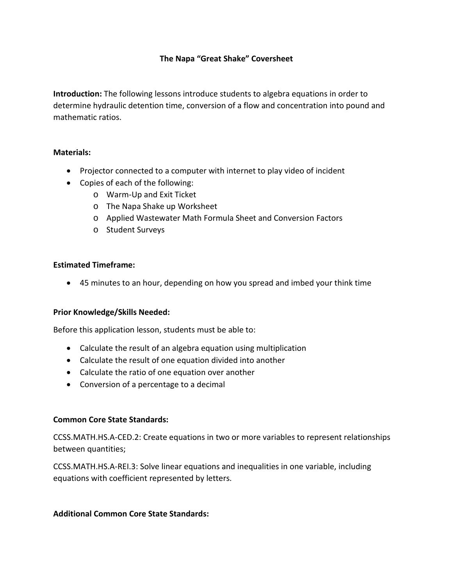## **The Napa "Great Shake" Coversheet**

**Introduction:** The following lessons introduce students to algebra equations in order to determine hydraulic detention time, conversion of a flow and concentration into pound and mathematic ratios.

## **Materials:**

- Projector connected to a computer with internet to play video of incident
- Copies of each of the following:
	- o Warm-Up and Exit Ticket
	- o The Napa Shake up Worksheet
	- o Applied Wastewater Math Formula Sheet and Conversion Factors
	- o Student Surveys

#### **Estimated Timeframe:**

• 45 minutes to an hour, depending on how you spread and imbed your think time

#### **Prior Knowledge/Skills Needed:**

Before this application lesson, students must be able to:

- Calculate the result of an algebra equation using multiplication
- Calculate the result of one equation divided into another
- Calculate the ratio of one equation over another
- Conversion of a percentage to a decimal

#### **Common Core State Standards:**

CCSS.MATH.HS.A-CED.2: Create equations in two or more variables to represent relationships between quantities;

CCSS.MATH.HS.A-REI.3: Solve linear equations and inequalities in one variable, including equations with coefficient represented by letters.

#### **Additional Common Core State Standards:**